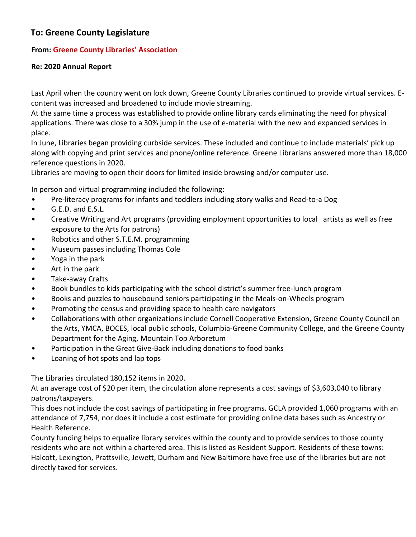## **To: Greene County Legislature**

## **From: Greene County Libraries' Association**

## **Re: 2020 Annual Report**

Last April when the country went on lock down, Greene County Libraries continued to provide virtual services. Econtent was increased and broadened to include movie streaming.

At the same time a process was established to provide online library cards eliminating the need for physical applications. There was close to a 30% jump in the use of e-material with the new and expanded services in place.

In June, Libraries began providing curbside services. These included and continue to include materials' pick up along with copying and print services and phone/online reference. Greene Librarians answered more than 18,000 reference questions in 2020.

Libraries are moving to open their doors for limited inside browsing and/or computer use.

In person and virtual programming included the following:

- Pre-literacy programs for infants and toddlers including story walks and Read-to-a Dog
- G.E.D. and E.S.L.
- Creative Writing and Art programs (providing employment opportunities to local artists as well as free exposure to the Arts for patrons)
- Robotics and other S.T.E.M. programming
- Museum passes including Thomas Cole
- Yoga in the park
- Art in the park
- Take-away Crafts
- Book bundles to kids participating with the school district's summer free-lunch program
- Books and puzzles to housebound seniors participating in the Meals-on-Wheels program
- Promoting the census and providing space to health care navigators
- Collaborations with other organizations include Cornell Cooperative Extension, Greene County Council on the Arts, YMCA, BOCES, local public schools, Columbia-Greene Community College, and the Greene County Department for the Aging, Mountain Top Arboretum
- Participation in the Great Give-Back including donations to food banks
- Loaning of hot spots and lap tops

The Libraries circulated 180,152 items in 2020.

At an average cost of \$20 per item, the circulation alone represents a cost savings of \$3,603,040 to library patrons/taxpayers.

This does not include the cost savings of participating in free programs. GCLA provided 1,060 programs with an attendance of 7,754, nor does it include a cost estimate for providing online data bases such as Ancestry or Health Reference.

County funding helps to equalize library services within the county and to provide services to those county residents who are not within a chartered area. This is listed as Resident Support. Residents of these towns: Halcott, Lexington, Prattsville, Jewett, Durham and New Baltimore have free use of the libraries but are not directly taxed for services.